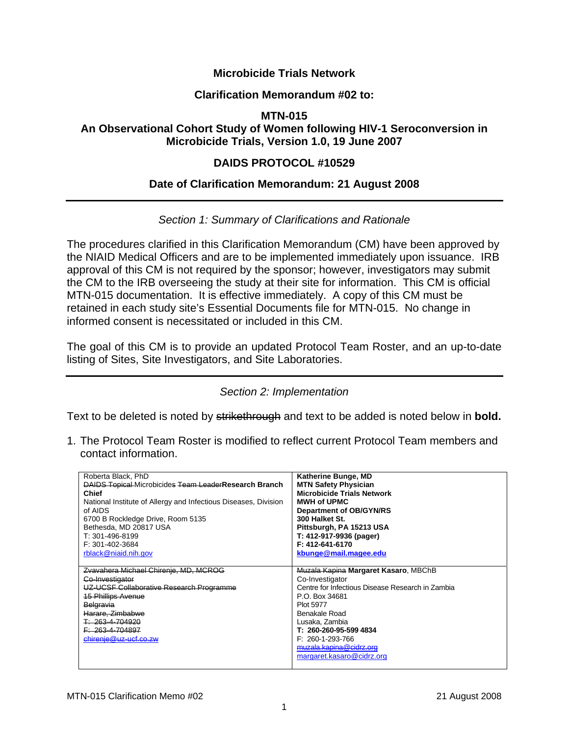# **Microbicide Trials Network**

#### **Clarification Memorandum #02 to:**

#### **MTN-015**

# **An Observational Cohort Study of Women following HIV-1 Seroconversion in Microbicide Trials, Version 1.0, 19 June 2007**

# **DAIDS PROTOCOL #10529**

## **Date of Clarification Memorandum: 21 August 2008**

## *Section 1: Summary of Clarifications and Rationale*

The procedures clarified in this Clarification Memorandum (CM) have been approved by the NIAID Medical Officers and are to be implemented immediately upon issuance. IRB approval of this CM is not required by the sponsor; however, investigators may submit the CM to the IRB overseeing the study at their site for information. This CM is official MTN-015 documentation. It is effective immediately. A copy of this CM must be retained in each study site's Essential Documents file for MTN-015. No change in informed consent is necessitated or included in this CM.

The goal of this CM is to provide an updated Protocol Team Roster, and an up-to-date listing of Sites, Site Investigators, and Site Laboratories.

#### *Section 2: Implementation*

Text to be deleted is noted by strikethrough and text to be added is noted below in **bold.** 

1. The Protocol Team Roster is modified to reflect current Protocol Team members and contact information.

| Roberta Black, PhD<br><b>DAIDS Topical Microbicides Team LeaderResearch Branch</b><br><b>Chief</b><br>National Institute of Allergy and Infectious Diseases, Division<br>of AIDS<br>6700 B Rockledge Drive, Room 5135<br>Bethesda, MD 20817 USA<br>T: 301-496-8199<br>F: 301-402-3684<br>rblack@niaid.nih.gov | Katherine Bunge, MD<br><b>MTN Safety Physician</b><br><b>Microbicide Trials Network</b><br><b>MWH of UPMC</b><br>Department of OB/GYN/RS<br>300 Halket St.<br>Pittsburgh, PA 15213 USA<br>T: 412-917-9936 (pager)<br>F: 412-641-6170<br>kbunge@mail.magee.edu |
|---------------------------------------------------------------------------------------------------------------------------------------------------------------------------------------------------------------------------------------------------------------------------------------------------------------|---------------------------------------------------------------------------------------------------------------------------------------------------------------------------------------------------------------------------------------------------------------|
| Zvavahera Michael Chirenje, MD, MCROG<br>Co-Investigator<br>UZ-UCSF Collaborative Research Programme<br><u> 15 Phillips Avenue</u><br>Belgravia<br>Harare, Zimbabwe<br>T: 263-4-704920<br><del>F: 263-4-704897</del><br>chirenje@uz-ucf.co.zw                                                                 | Muzala Kapina Margaret Kasaro, MBChB<br>Co-Investigator<br>Centre for Infectious Disease Research in Zambia<br>P.O. Box 34681<br><b>Plot 5977</b><br>Benakale Road<br>Lusaka, Zambia<br>T: 260-260-95-599 4834<br>F: 260-1-293-766<br>muzala.kapina@cidrz.org |
|                                                                                                                                                                                                                                                                                                               | margaret.kasaro@cidrz.org                                                                                                                                                                                                                                     |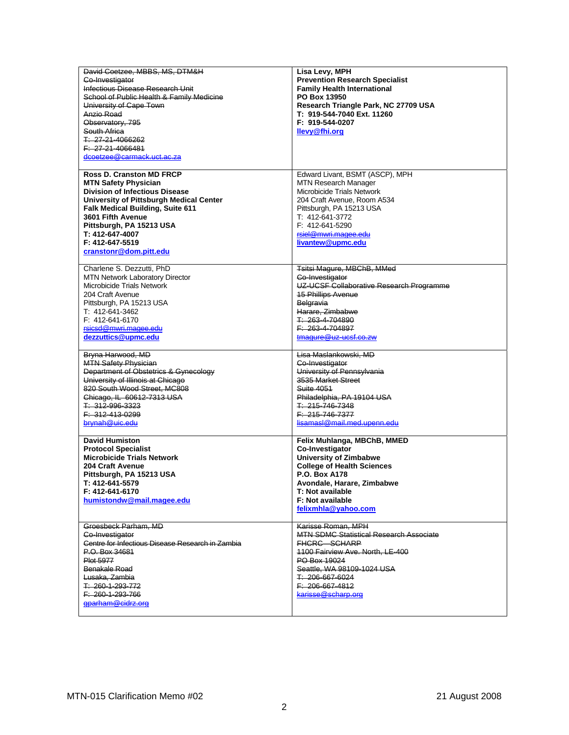| David Coetzee, MBBS, MS, DTM&H<br>Co-Investigator<br>Infectious Disease Research Unit<br>School of Public Health & Family Medicine<br>University of Cape Town<br>Anzio Road<br>Observatory, 795<br>South Africa<br>T: 27-21-4066262<br>F: 27-21-4066481<br>dcoetzee@carmack.uct.ac.za                          | Lisa Levy, MPH<br><b>Prevention Research Specialist</b><br><b>Family Health International</b><br>PO Box 13950<br>Research Triangle Park, NC 27709 USA<br>T: 919-544-7040 Ext. 11260<br>F: 919-544-0207<br>llevy@fhi.org                          |
|----------------------------------------------------------------------------------------------------------------------------------------------------------------------------------------------------------------------------------------------------------------------------------------------------------------|--------------------------------------------------------------------------------------------------------------------------------------------------------------------------------------------------------------------------------------------------|
| <b>Ross D. Cranston MD FRCP</b><br><b>MTN Safety Physician</b><br><b>Division of Infectious Disease</b><br>University of Pittsburgh Medical Center<br><b>Falk Medical Building, Suite 611</b><br>3601 Fifth Avenue<br>Pittsburgh, PA 15213 USA<br>T: 412-647-4007<br>F: 412-647-5519<br>cranstonr@dom.pitt.edu | Edward Livant, BSMT (ASCP), MPH<br>MTN Research Manager<br>Microbicide Trials Network<br>204 Craft Avenue, Room A534<br>Pittsburgh, PA 15213 USA<br>T: 412-641-3772<br>F: 412-641-5290<br>rsiel@mwri.magee.edu<br>livantew@upmc.edu              |
| Charlene S. Dezzutti, PhD<br>MTN Network Laboratory Director<br>Microbicide Trials Network<br>204 Craft Avenue<br>Pittsburgh, PA 15213 USA<br>T: 412-641-3462<br>F: 412-641-6170<br>rsicsd@mwri.magee.edu<br>dezzuttics@upmc.edu                                                                               | Tsitsi Magure, MBChB, MMed<br>Co-Investigator<br>UZ-UCSF Collaborative Research Programme<br><b>15 Phillips Avenue</b><br>Belgravia<br>Harare, Zimbabwe<br>T: 263-4-704890<br>$F: 263 - 4 - 704897$<br>tmagure@uz-ucsf.co.zw                     |
| Bryna Harwood, MD<br><b>MTN Safety Physician</b><br>Department of Obstetrics & Gynecology<br>University of Illinois at Chicago<br>820 South Wood Street, MC808<br>Chicago, IL 60612-7313 USA<br>T: 312-996-3323<br>F: 312-413-0299<br>brynah@uic.edu                                                           | <del>Lisa Maslankowski, MD</del><br>Co-Investigator<br>University of Pennsylvania<br>3535 Market Street<br>Suite 4051<br>Philadelphia, PA 19104 USA<br>T: 215-746-7348<br>F: 215-746-7377<br>lisamasl@mail.med.upenn.edu                         |
| <b>David Humiston</b><br><b>Protocol Specialist</b><br><b>Microbicide Trials Network</b><br>204 Craft Avenue<br>Pittsburgh, PA 15213 USA<br>1: 412-641-5579<br>F: 412-641-6170<br>humistondw@mail.magee.edu                                                                                                    | Felix Muhlanga, MBChB, MMED<br>Co-Investigator<br><b>University of Zimbabwe</b><br><b>College of Health Sciences</b><br><b>P.O. Box A178</b><br>Avondale, Harare, Zimbabwe<br><b>T: Not available</b><br>F: Not available<br>felixmhla@vahoo.com |
| Groesbeck Parham, MD<br>Co-Investigator<br>Centre for Infectious Disease Research in Zambia<br>P.O. Box 34681<br><b>Plot 5977</b><br>Benakale Road<br>Lusaka, Zambia<br>T: 260-1-293-772<br>$F: 260 - 1 - 293 - 766$<br>$\theta$ aparham @ cidrz.org                                                           | Karisse Roman, MPH<br><b>MTN SDMC Statistical Research Associate</b><br>FHCRC-SCHARP<br>1100 Fairview Ave. North, LE-400<br>PO Box 19024<br>Seattle, WA 98109-1024 USA<br>T: 206-667-6024<br>$F: 206-667-4812$<br>karisse@scharp.org             |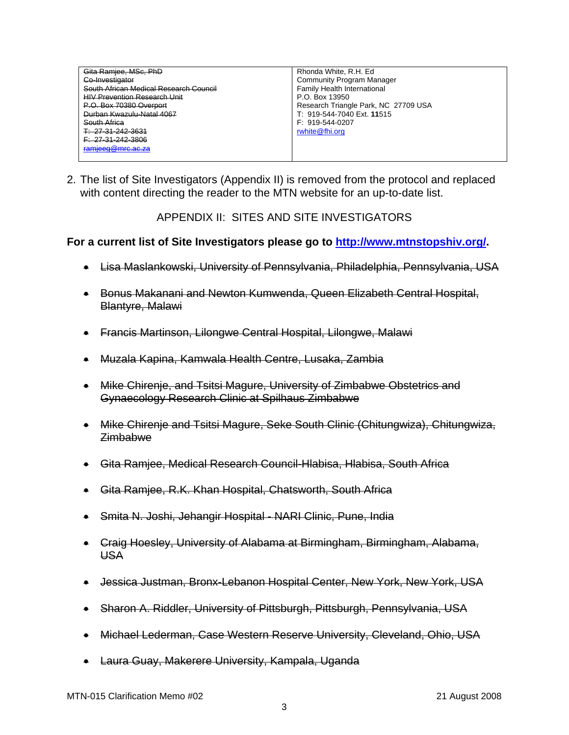| Gita Ramiee, MSc, PhD                  | Rhonda White, R.H. Ed.               |
|----------------------------------------|--------------------------------------|
| Co-Investigator                        | <b>Community Program Manager</b>     |
| South African Medical Research Council | <b>Family Health International</b>   |
| <b>HIV Prevention Research Unit</b>    | P.O. Box 13950                       |
| P.O. Box 70380 Overport                | Research Triangle Park, NC 27709 USA |
| Durban Kwazulu-Natal 4067              | T: 919-544-7040 Ext. 11515           |
| South Africa                           | $F: 919 - 544 - 0207$                |
| T: 27-31-242-3631                      | rwhite@fhi.org                       |
| F: 27-31-242-3806                      |                                      |
| ramieeg@mrc.ac.za                      |                                      |
|                                        |                                      |

2. The list of Site Investigators (Appendix II) is removed from the protocol and replaced with content directing the reader to the MTN website for an up-to-date list.

APPENDIX II: SITES AND SITE INVESTIGATORS

## **For a current list of Site Investigators please go to<http://www.mtnstopshiv.org/>.**

- Lisa Maslankowski, University of Pennsylvania, Philadelphia, Pennsylvania, USA
- Bonus Makanani and Newton Kumwenda, Queen Elizabeth Central Hospital, Blantyre, Malawi
- Francis Martinson, Lilongwe Central Hospital, Lilongwe, Malawi
- Muzala Kapina, Kamwala Health Centre, Lusaka, Zambia
- Mike Chirenje, and Tsitsi Magure, University of Zimbabwe Obstetrics and Gynaecology Research Clinic at Spilhaus Zimbabwe
- Mike Chirenje and Tsitsi Magure, Seke South Clinic (Chitungwiza), Chitungwiza, Zimbabwe
- Gita Ramjee, Medical Research Council-Hlabisa, Hlabisa, South Africa
- Gita Ramjee, R.K. Khan Hospital, Chatsworth, South Africa
- Smita N. Joshi, Jehangir Hospital NARI Clinic, Pune, India
- Craig Hoesley, University of Alabama at Birmingham, Birmingham, Alabama, USA
- Jessica Justman, Bronx-Lebanon Hospital Center, New York, New York, USA
- Sharon A. Riddler, University of Pittsburgh, Pittsburgh, Pennsylvania, USA
- Michael Lederman, Case Western Reserve University, Cleveland, Ohio, USA
- Laura Guay, Makerere University, Kampala, Uganda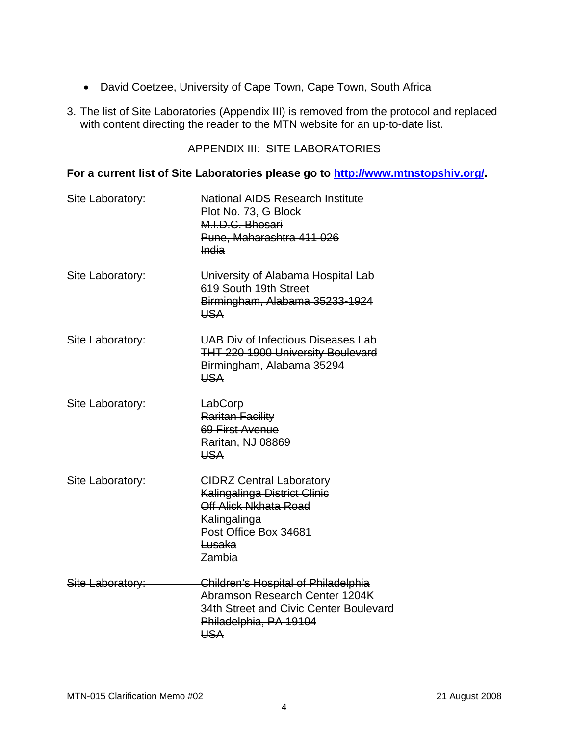- David Coetzee, University of Cape Town, Cape Town, South Africa
- 3. The list of Site Laboratories (Appendix III) is removed from the protocol and replaced with content directing the reader to the MTN website for an up-to-date list.

# APPENDIX III: SITE LABORATORIES

# **For a current list of Site Laboratories please go to<http://www.mtnstopshiv.org/>.**

| Site Laboratory: | <b>National AIDS Research Institute</b><br>Plot No. 73, G Block<br>M.I.D.C. Bhosari<br>Pune, Maharashtra 411 026<br><b>India</b>                             |
|------------------|--------------------------------------------------------------------------------------------------------------------------------------------------------------|
| Site Laboratory: | University of Alabama Hospital Lab<br>619 South 19th Street<br>Birmingham, Alabama 35233-1924<br><b>USA</b>                                                  |
| Site Laboratory: | UAB Div of Infectious Diseases Lab<br><b>THT 220 1900 University Boulevard</b><br>Birmingham, Alabama 35294<br><b>USA</b>                                    |
| Site Laboratory: | <del>LabCorp</del><br>Raritan Facility<br>69 First Avenue<br><b>Raritan, NJ 08869</b><br><b>USA</b>                                                          |
| Site Laboratory: | <b>CIDRZ Central Laboratory</b><br><b>Kalingalinga District Clinic</b><br>Off Alick Nkhata Road<br>Kalingalinga<br>Post Office Box 34681<br>Lusaka<br>Zambia |
| Site Laboratory: | Children's Hospital of Philadelphia<br>Abramson Research Center 1204K<br>34th Street and Civic Center Boulevard<br>Philadelphia, PA 19104<br><b>USA</b>      |